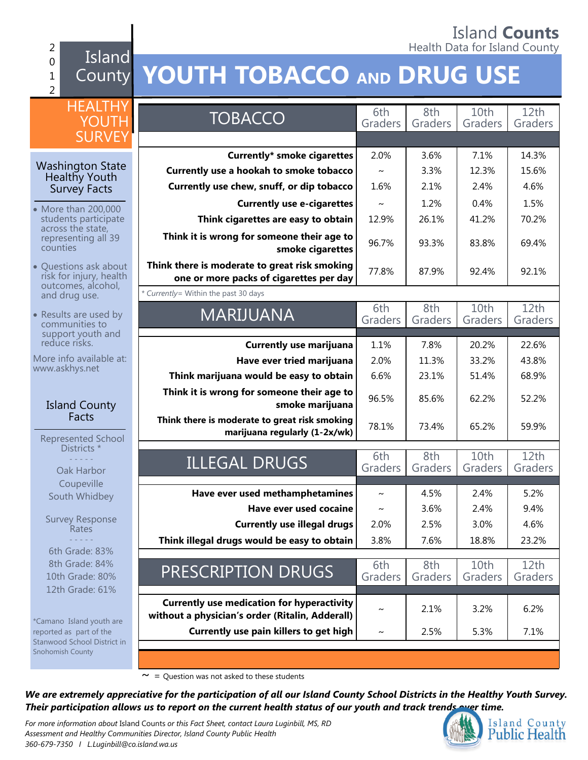#### Island **Counts** 2 **Figure 1.** Health Data for Island County

0 1 2 Island

# County **YOUTH TOBACCO AND DRUG USE**

| <b>HEALTHY</b>                                      |                                                                                                      | 6th     | 8th     | 10th    | 12 <sub>th</sub> |
|-----------------------------------------------------|------------------------------------------------------------------------------------------------------|---------|---------|---------|------------------|
| YOUTH                                               | <b>TOBACCO</b>                                                                                       | Graders | Graders | Graders | Graders          |
| <b>SURVEY</b>                                       |                                                                                                      |         |         |         |                  |
|                                                     |                                                                                                      |         |         |         |                  |
| <b>Washington State</b>                             | <b>Currently* smoke cigarettes</b>                                                                   | 2.0%    | 3.6%    | 7.1%    | 14.3%            |
| <b>Healthy Youth</b>                                | Currently use a hookah to smoke tobacco                                                              | $\sim$  | 3.3%    | 12.3%   | 15.6%            |
| <b>Survey Facts</b>                                 | Currently use chew, snuff, or dip tobacco                                                            | 1.6%    | 2.1%    | 2.4%    | 4.6%             |
| • More than 200,000                                 | <b>Currently use e-cigarettes</b>                                                                    | $\sim$  | 1.2%    | 0.4%    | 1.5%             |
| students participate                                | Think cigarettes are easy to obtain                                                                  | 12.9%   | 26.1%   | 41.2%   | 70.2%            |
| across the state,<br>representing all 39            | Think it is wrong for someone their age to                                                           |         |         |         |                  |
| counties                                            | smoke cigarettes                                                                                     | 96.7%   | 93.3%   | 83.8%   | 69.4%            |
| • Questions ask about                               | Think there is moderate to great risk smoking                                                        |         |         |         |                  |
| risk for injury, health                             | one or more packs of cigarettes per day                                                              | 77.8%   | 87.9%   | 92.4%   | 92.1%            |
| outcomes, alcohol,<br>and drug use.                 | * Currently= Within the past 30 days                                                                 |         |         |         |                  |
|                                                     |                                                                                                      | 6th     | 8th     | 10th    | 12th             |
| Results are used by<br>communities to               | <b>MARIJUANA</b>                                                                                     | Graders | Graders | Graders | Graders          |
| support youth and                                   |                                                                                                      |         |         |         |                  |
| reduce risks.                                       | <b>Currently use marijuana</b>                                                                       | 1.1%    | 7.8%    | 20.2%   | 22.6%            |
| More info available at:<br>www.askhys.net           | Have ever tried marijuana                                                                            | 2.0%    | 11.3%   | 33.2%   | 43.8%            |
|                                                     | Think marijuana would be easy to obtain                                                              | 6.6%    | 23.1%   | 51.4%   | 68.9%            |
|                                                     | Think it is wrong for someone their age to                                                           | 96.5%   | 85.6%   | 62.2%   | 52.2%            |
| <b>Island County</b>                                | smoke marijuana                                                                                      |         |         |         |                  |
| Facts                                               | Think there is moderate to great risk smoking                                                        | 78.1%   | 73.4%   | 65.2%   | 59.9%            |
| Represented School                                  | marijuana regularly (1-2x/wk)                                                                        |         |         |         |                  |
| Districts *                                         |                                                                                                      | 6th     | 8th     | 10th    | 12th             |
| Oak Harbor                                          | <b>ILLEGAL DRUGS</b>                                                                                 | Graders | Graders | Graders | Graders          |
| Coupeville                                          |                                                                                                      |         |         |         |                  |
| South Whidbey                                       | Have ever used methamphetamines                                                                      | $\sim$  | 4.5%    | 2.4%    | 5.2%             |
|                                                     | Have ever used cocaine                                                                               | $\sim$  | 3.6%    | 2.4%    | 9.4%             |
| <b>Survey Response</b><br>Rates                     | <b>Currently use illegal drugs</b>                                                                   | 2.0%    | 2.5%    | 3.0%    | 4.6%             |
|                                                     | Think illegal drugs would be easy to obtain                                                          | 3.8%    | 7.6%    | 18.8%   | 23.2%            |
| 6th Grade: 83%                                      |                                                                                                      |         |         |         |                  |
| 8th Grade: 84%                                      | PRESCRIPTION DRUGS                                                                                   | 6th     | 8th     | 10th    | 12th             |
| 10th Grade: 80%                                     |                                                                                                      | Graders | Graders | Graders | Graders          |
| 12th Grade: 61%                                     |                                                                                                      |         |         |         |                  |
|                                                     | <b>Currently use medication for hyperactivity</b><br>without a physician's order (Ritalin, Adderall) | $\sim$  | 2.1%    | 3.2%    | 6.2%             |
| *Camano Island youth are<br>reported as part of the | Currently use pain killers to get high                                                               |         |         |         |                  |
| Stanwood School District in                         |                                                                                                      | $\sim$  | 2.5%    | 5.3%    | 7.1%             |
| Snohomish County                                    |                                                                                                      |         |         |         |                  |
|                                                     |                                                                                                      |         |         |         |                  |

 $\sim$  = Question was not asked to these students

*We are extremely appreciative for the participation of all our Island County School Districts in the Healthy Youth Survey. Their participation allows us to report on the current health status of our youth and track trends over time.*

*For more information about* Island Counts *or this Fact Sheet, contact Laura Luginbill, MS, RD Assessment and Healthy Communities Director, Island County Public Health 360-679-7350 I L.Luginbill@co.island.wa.us*